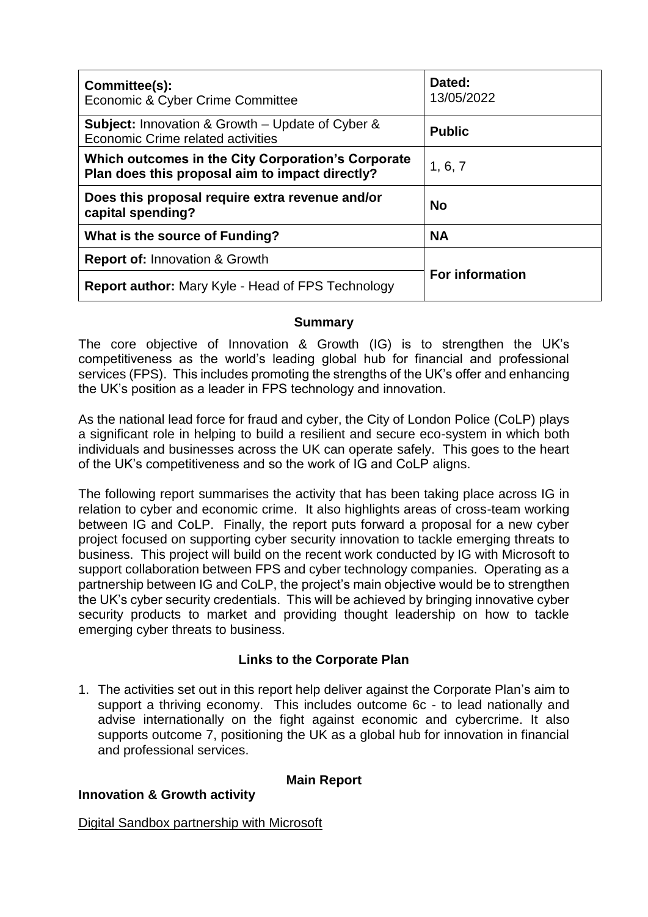| Committee(s):<br>Economic & Cyber Crime Committee                                                     | Dated:<br>13/05/2022   |
|-------------------------------------------------------------------------------------------------------|------------------------|
| <b>Subject:</b> Innovation & Growth – Update of Cyber &<br>Economic Crime related activities          | <b>Public</b>          |
| Which outcomes in the City Corporation's Corporate<br>Plan does this proposal aim to impact directly? | 1, 6, 7                |
| Does this proposal require extra revenue and/or<br>capital spending?                                  | <b>No</b>              |
| What is the source of Funding?                                                                        | <b>NA</b>              |
| <b>Report of: Innovation &amp; Growth</b>                                                             | <b>For information</b> |
| <b>Report author:</b> Mary Kyle - Head of FPS Technology                                              |                        |

## **Summary**

The core objective of Innovation & Growth (IG) is to strengthen the UK's competitiveness as the world's leading global hub for financial and professional services (FPS). This includes promoting the strengths of the UK's offer and enhancing the UK's position as a leader in FPS technology and innovation.

As the national lead force for fraud and cyber, the City of London Police (CoLP) plays a significant role in helping to build a resilient and secure eco-system in which both individuals and businesses across the UK can operate safely. This goes to the heart of the UK's competitiveness and so the work of IG and CoLP aligns.

The following report summarises the activity that has been taking place across IG in relation to cyber and economic crime. It also highlights areas of cross-team working between IG and CoLP. Finally, the report puts forward a proposal for a new cyber project focused on supporting cyber security innovation to tackle emerging threats to business. This project will build on the recent work conducted by IG with Microsoft to support collaboration between FPS and cyber technology companies. Operating as a partnership between IG and CoLP, the project's main objective would be to strengthen the UK's cyber security credentials. This will be achieved by bringing innovative cyber security products to market and providing thought leadership on how to tackle emerging cyber threats to business.

# **Links to the Corporate Plan**

1. The activities set out in this report help deliver against the Corporate Plan's aim to support a thriving economy. This includes outcome 6c - to lead nationally and advise internationally on the fight against economic and cybercrime. It also supports outcome 7, positioning the UK as a global hub for innovation in financial and professional services.

## **Main Report**

# **Innovation & Growth activity**

Digital Sandbox partnership with Microsoft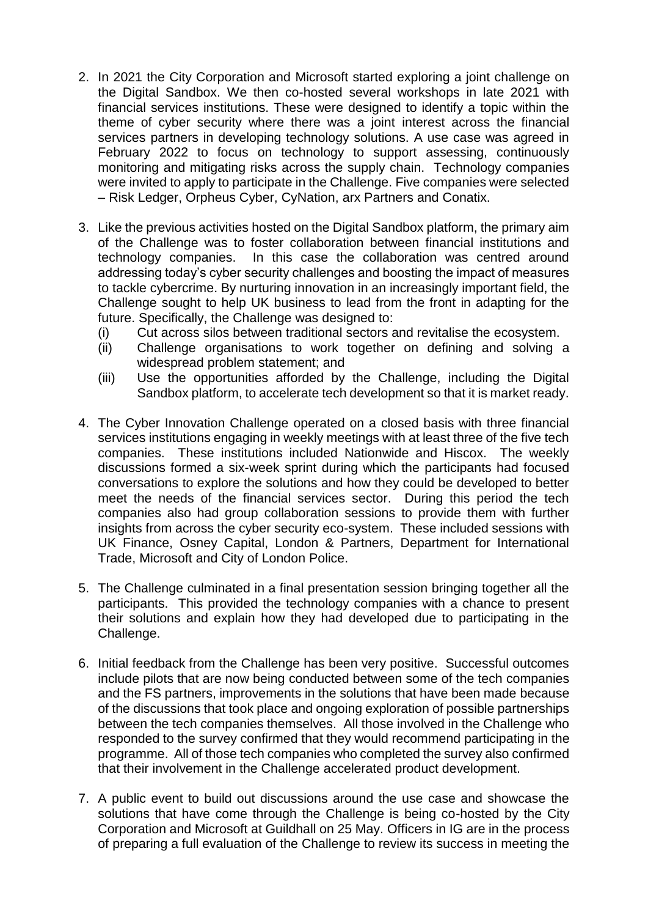- 2. In 2021 the City Corporation and Microsoft started exploring a joint challenge on the Digital Sandbox. We then co-hosted several workshops in late 2021 with financial services institutions. These were designed to identify a topic within the theme of cyber security where there was a joint interest across the financial services partners in developing technology solutions. A use case was agreed in February 2022 to focus on technology to support assessing, continuously monitoring and mitigating risks across the supply chain. Technology companies were invited to apply to participate in the Challenge. Five companies were selected – Risk Ledger, Orpheus Cyber, CyNation, arx Partners and Conatix.
- 3. Like the previous activities hosted on the Digital Sandbox platform, the primary aim of the Challenge was to foster collaboration between financial institutions and technology companies. In this case the collaboration was centred around addressing today's cyber security challenges and boosting the impact of measures to tackle cybercrime. By nurturing innovation in an increasingly important field, the Challenge sought to help UK business to lead from the front in adapting for the future. Specifically, the Challenge was designed to:
	- (i) Cut across silos between traditional sectors and revitalise the ecosystem.
	- (ii) Challenge organisations to work together on defining and solving a widespread problem statement; and
	- (iii) Use the opportunities afforded by the Challenge, including the Digital Sandbox platform, to accelerate tech development so that it is market ready.
- 4. The Cyber Innovation Challenge operated on a closed basis with three financial services institutions engaging in weekly meetings with at least three of the five tech companies. These institutions included Nationwide and Hiscox. The weekly discussions formed a six-week sprint during which the participants had focused conversations to explore the solutions and how they could be developed to better meet the needs of the financial services sector. During this period the tech companies also had group collaboration sessions to provide them with further insights from across the cyber security eco-system. These included sessions with UK Finance, Osney Capital, London & Partners, Department for International Trade, Microsoft and City of London Police.
- 5. The Challenge culminated in a final presentation session bringing together all the participants. This provided the technology companies with a chance to present their solutions and explain how they had developed due to participating in the Challenge.
- 6. Initial feedback from the Challenge has been very positive. Successful outcomes include pilots that are now being conducted between some of the tech companies and the FS partners, improvements in the solutions that have been made because of the discussions that took place and ongoing exploration of possible partnerships between the tech companies themselves. All those involved in the Challenge who responded to the survey confirmed that they would recommend participating in the programme. All of those tech companies who completed the survey also confirmed that their involvement in the Challenge accelerated product development.
- 7. A public event to build out discussions around the use case and showcase the solutions that have come through the Challenge is being co-hosted by the City Corporation and Microsoft at Guildhall on 25 May. Officers in IG are in the process of preparing a full evaluation of the Challenge to review its success in meeting the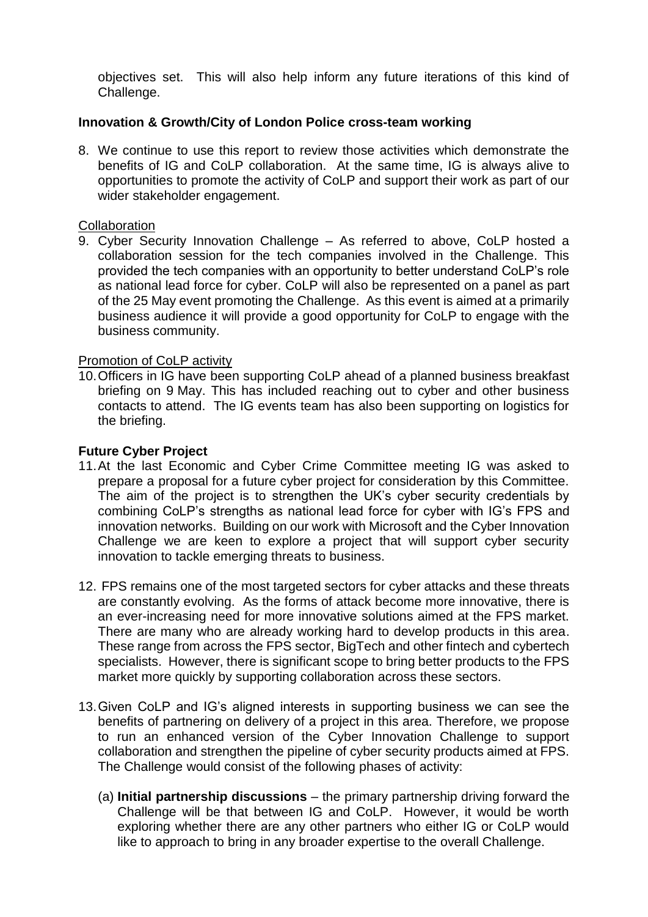objectives set. This will also help inform any future iterations of this kind of Challenge.

### **Innovation & Growth/City of London Police cross-team working**

8. We continue to use this report to review those activities which demonstrate the benefits of IG and CoLP collaboration. At the same time, IG is always alive to opportunities to promote the activity of CoLP and support their work as part of our wider stakeholder engagement.

#### **Collaboration**

9. Cyber Security Innovation Challenge – As referred to above, CoLP hosted a collaboration session for the tech companies involved in the Challenge. This provided the tech companies with an opportunity to better understand CoLP's role as national lead force for cyber. CoLP will also be represented on a panel as part of the 25 May event promoting the Challenge. As this event is aimed at a primarily business audience it will provide a good opportunity for CoLP to engage with the business community.

#### Promotion of CoLP activity

10.Officers in IG have been supporting CoLP ahead of a planned business breakfast briefing on 9 May. This has included reaching out to cyber and other business contacts to attend. The IG events team has also been supporting on logistics for the briefing.

## **Future Cyber Project**

- 11.At the last Economic and Cyber Crime Committee meeting IG was asked to prepare a proposal for a future cyber project for consideration by this Committee. The aim of the project is to strengthen the UK's cyber security credentials by combining CoLP's strengths as national lead force for cyber with IG's FPS and innovation networks. Building on our work with Microsoft and the Cyber Innovation Challenge we are keen to explore a project that will support cyber security innovation to tackle emerging threats to business.
- 12. FPS remains one of the most targeted sectors for cyber attacks and these threats are constantly evolving. As the forms of attack become more innovative, there is an ever-increasing need for more innovative solutions aimed at the FPS market. There are many who are already working hard to develop products in this area. These range from across the FPS sector, BigTech and other fintech and cybertech specialists. However, there is significant scope to bring better products to the FPS market more quickly by supporting collaboration across these sectors.
- 13.Given CoLP and IG's aligned interests in supporting business we can see the benefits of partnering on delivery of a project in this area. Therefore, we propose to run an enhanced version of the Cyber Innovation Challenge to support collaboration and strengthen the pipeline of cyber security products aimed at FPS. The Challenge would consist of the following phases of activity:
	- (a) **Initial partnership discussions** the primary partnership driving forward the Challenge will be that between IG and CoLP. However, it would be worth exploring whether there are any other partners who either IG or CoLP would like to approach to bring in any broader expertise to the overall Challenge.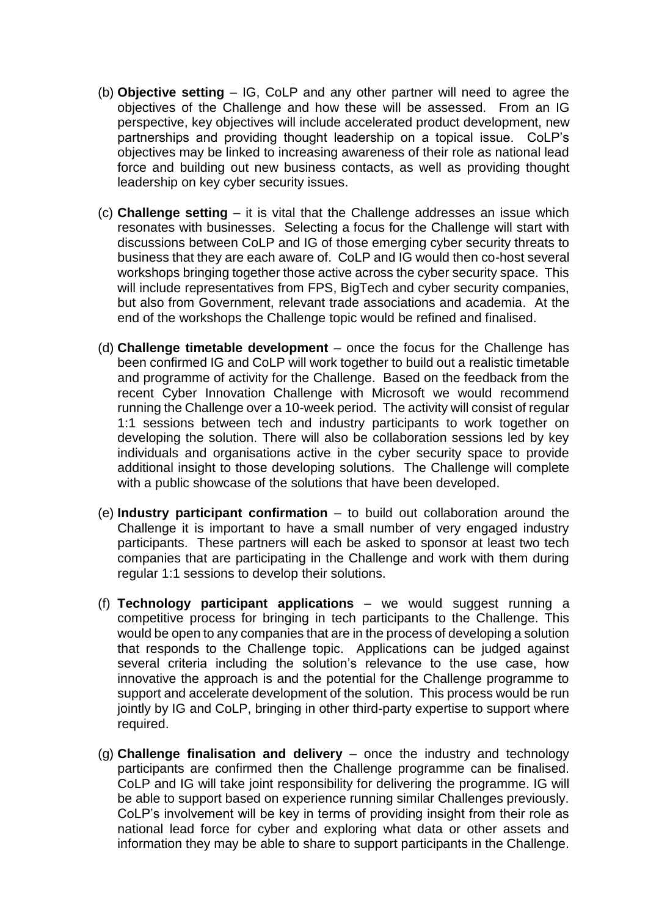- (b) **Objective setting** IG, CoLP and any other partner will need to agree the objectives of the Challenge and how these will be assessed. From an IG perspective, key objectives will include accelerated product development, new partnerships and providing thought leadership on a topical issue. CoLP's objectives may be linked to increasing awareness of their role as national lead force and building out new business contacts, as well as providing thought leadership on key cyber security issues.
- (c) **Challenge setting** it is vital that the Challenge addresses an issue which resonates with businesses. Selecting a focus for the Challenge will start with discussions between CoLP and IG of those emerging cyber security threats to business that they are each aware of. CoLP and IG would then co-host several workshops bringing together those active across the cyber security space. This will include representatives from FPS, BigTech and cyber security companies, but also from Government, relevant trade associations and academia. At the end of the workshops the Challenge topic would be refined and finalised.
- (d) **Challenge timetable development** once the focus for the Challenge has been confirmed IG and CoLP will work together to build out a realistic timetable and programme of activity for the Challenge. Based on the feedback from the recent Cyber Innovation Challenge with Microsoft we would recommend running the Challenge over a 10-week period. The activity will consist of regular 1:1 sessions between tech and industry participants to work together on developing the solution. There will also be collaboration sessions led by key individuals and organisations active in the cyber security space to provide additional insight to those developing solutions. The Challenge will complete with a public showcase of the solutions that have been developed.
- (e) **Industry participant confirmation** to build out collaboration around the Challenge it is important to have a small number of very engaged industry participants. These partners will each be asked to sponsor at least two tech companies that are participating in the Challenge and work with them during regular 1:1 sessions to develop their solutions.
- (f) **Technology participant applications** we would suggest running a competitive process for bringing in tech participants to the Challenge. This would be open to any companies that are in the process of developing a solution that responds to the Challenge topic. Applications can be judged against several criteria including the solution's relevance to the use case, how innovative the approach is and the potential for the Challenge programme to support and accelerate development of the solution. This process would be run jointly by IG and CoLP, bringing in other third-party expertise to support where required.
- (g) **Challenge finalisation and delivery** once the industry and technology participants are confirmed then the Challenge programme can be finalised. CoLP and IG will take joint responsibility for delivering the programme. IG will be able to support based on experience running similar Challenges previously. CoLP's involvement will be key in terms of providing insight from their role as national lead force for cyber and exploring what data or other assets and information they may be able to share to support participants in the Challenge.